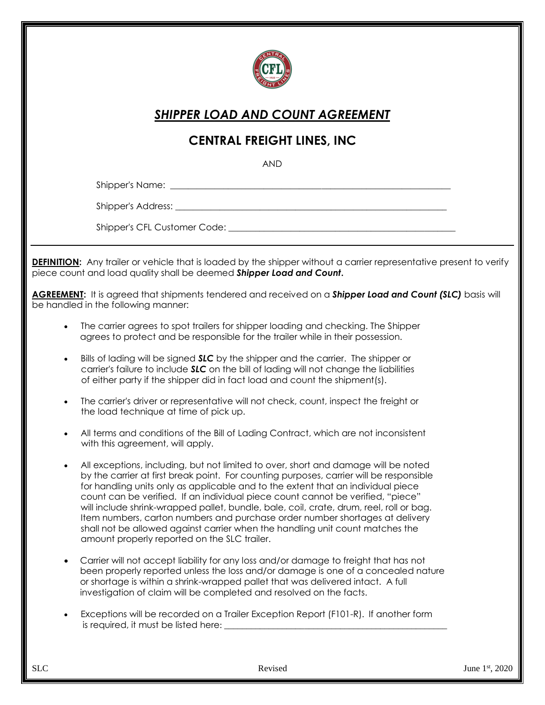

## *SHIPPER LOAD AND COUNT AGREEMENT*

## **CENTRAL FREIGHT LINES, INC**

AND

Shipper's Name:

Shipper's Address: **Example 20** and 20 and 20 and 20 and 20 and 20 and 20 and 20 and 20 and 20 and 20 and 20 and 20 and 20 and 20 and 20 and 20 and 20 and 20 and 20 and 20 and 20 and 20 and 20 and 20 and 20 and 20 and 20 a

Shipper's CFL Customer Code: **Example 2018** 

**DEFINITION:** Any trailer or vehicle that is loaded by the shipper without a carrier representative present to verify piece count and load quality shall be deemed *Shipper Load and Count***.**

**AGREEMENT:** It is agreed that shipments tendered and received on a *Shipper Load and Count (SLC)* basis will be handled in the following manner:

- The carrier agrees to spot trailers for shipper loading and checking. The Shipper agrees to protect and be responsible for the trailer while in their possession.
- Bills of lading will be signed *SLC* by the shipper and the carrier. The shipper or carrier's failure to include *SLC* on the bill of lading will not change the liabilities of either party if the shipper did in fact load and count the shipment(s).
- The carrier's driver or representative will not check, count, inspect the freight or the load technique at time of pick up.
- All terms and conditions of the Bill of Lading Contract, which are not inconsistent with this agreement, will apply.
- All exceptions, including, but not limited to over, short and damage will be noted by the carrier at first break point. For counting purposes, carrier will be responsible for handling units only as applicable and to the extent that an individual piece count can be verified. If an individual piece count cannot be verified, "piece" will include shrink-wrapped pallet, bundle, bale, coil, crate, drum, reel, roll or bag. Item numbers, carton numbers and purchase order number shortages at delivery shall not be allowed against carrier when the handling unit count matches the amount properly reported on the SLC trailer.
- Carrier will not accept liability for any loss and/or damage to freight that has not been properly reported unless the loss and/or damage is one of a concealed nature or shortage is within a shrink-wrapped pallet that was delivered intact. A full investigation of claim will be completed and resolved on the facts.
- Exceptions will be recorded on a Trailer Exception Report (F101-R). If another form is required, it must be listed here: